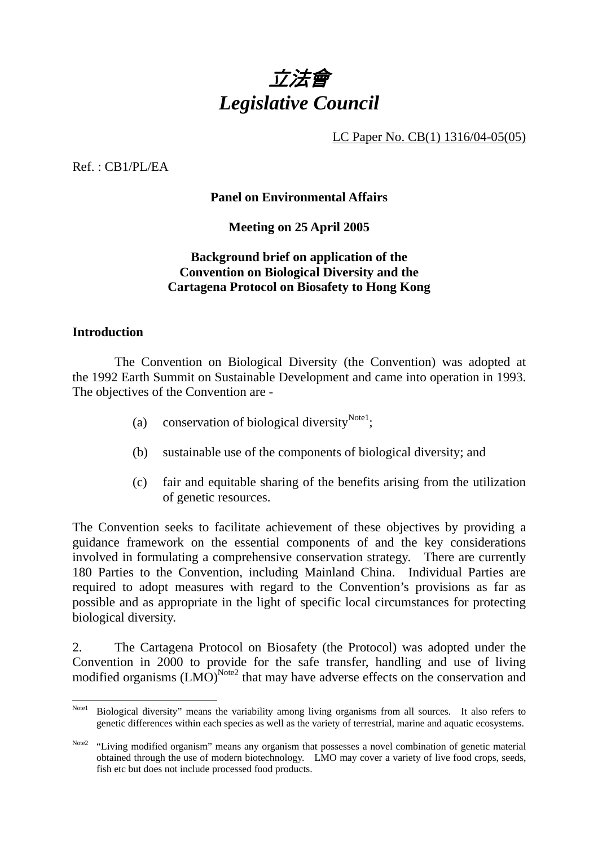

LC Paper No. CB(1) 1316/04-05(05)

 $Ref \cdot CR1/PI / EA$ 

### **Panel on Environmental Affairs**

**Meeting on 25 April 2005** 

#### **Background brief on application of the Convention on Biological Diversity and the Cartagena Protocol on Biosafety to Hong Kong**

#### **Introduction**

 The Convention on Biological Diversity (the Convention) was adopted at the 1992 Earth Summit on Sustainable Development and came into operation in 1993. The objectives of the Convention are -

- (a) conservation of biological diversity<sup>Note1</sup>;
- (b) sustainable use of the components of biological diversity; and
- (c) fair and equitable sharing of the benefits arising from the utilization of genetic resources.

The Convention seeks to facilitate achievement of these objectives by providing a guidance framework on the essential components of and the key considerations involved in formulating a comprehensive conservation strategy. There are currently 180 Parties to the Convention, including Mainland China. Individual Parties are required to adopt measures with regard to the Convention's provisions as far as possible and as appropriate in the light of specific local circumstances for protecting biological diversity.

2. The Cartagena Protocol on Biosafety (the Protocol) was adopted under the Convention in 2000 to provide for the safe transfer, handling and use of living modified organisms  $(LMO)^{Note2}$  that may have adverse effects on the conservation and

Note 1 Biological diversity" means the variability among living organisms from all sources. It also refers to genetic differences within each species as well as the variety of terrestrial, marine and aquatic ecosystems.

Note2 "Living modified organism" means any organism that possesses a novel combination of genetic material obtained through the use of modern biotechnology. LMO may cover a variety of live food crops, seeds, fish etc but does not include processed food products.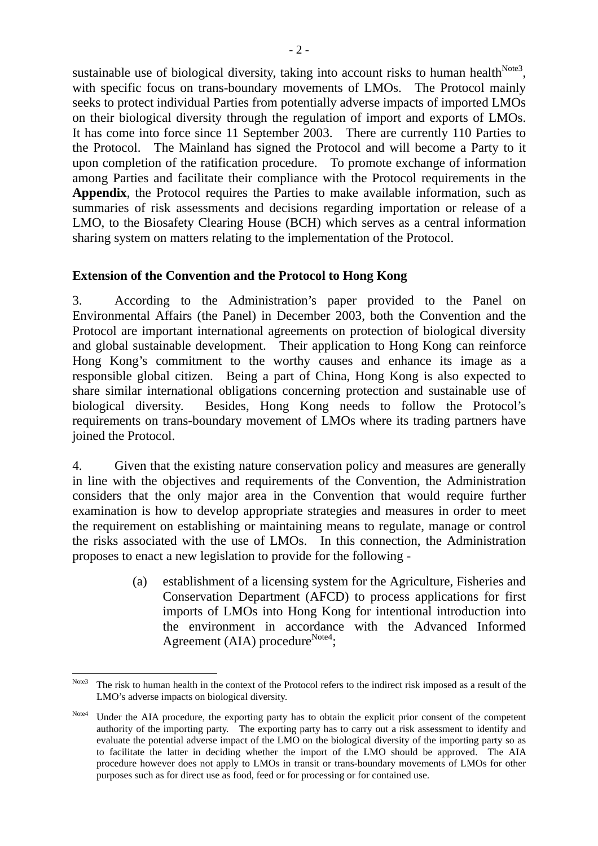sustainable use of biological diversity, taking into account risks to human health $^{Note3}$ . with specific focus on trans-boundary movements of LMOs. The Protocol mainly seeks to protect individual Parties from potentially adverse impacts of imported LMOs on their biological diversity through the regulation of import and exports of LMOs. It has come into force since 11 September 2003. There are currently 110 Parties to the Protocol. The Mainland has signed the Protocol and will become a Party to it upon completion of the ratification procedure. To promote exchange of information among Parties and facilitate their compliance with the Protocol requirements in the **Appendix**, the Protocol requires the Parties to make available information, such as summaries of risk assessments and decisions regarding importation or release of a LMO, to the Biosafety Clearing House (BCH) which serves as a central information sharing system on matters relating to the implementation of the Protocol.

#### **Extension of the Convention and the Protocol to Hong Kong**

3. According to the Administration's paper provided to the Panel on Environmental Affairs (the Panel) in December 2003, both the Convention and the Protocol are important international agreements on protection of biological diversity and global sustainable development. Their application to Hong Kong can reinforce Hong Kong's commitment to the worthy causes and enhance its image as a responsible global citizen. Being a part of China, Hong Kong is also expected to share similar international obligations concerning protection and sustainable use of biological diversity. Besides, Hong Kong needs to follow the Protocol's requirements on trans-boundary movement of LMOs where its trading partners have joined the Protocol.

4. Given that the existing nature conservation policy and measures are generally in line with the objectives and requirements of the Convention, the Administration considers that the only major area in the Convention that would require further examination is how to develop appropriate strategies and measures in order to meet the requirement on establishing or maintaining means to regulate, manage or control the risks associated with the use of LMOs. In this connection, the Administration proposes to enact a new legislation to provide for the following -

> (a) establishment of a licensing system for the Agriculture, Fisheries and Conservation Department (AFCD) to process applications for first imports of LMOs into Hong Kong for intentional introduction into the environment in accordance with the Advanced Informed Agreement (AIA) procedure $\text{Note4};$

 $\overline{a}$ Note3 The risk to human health in the context of the Protocol refers to the indirect risk imposed as a result of the LMO's adverse impacts on biological diversity.

Note4 Under the AIA procedure, the exporting party has to obtain the explicit prior consent of the competent authority of the importing party. The exporting party has to carry out a risk assessment to identify and evaluate the potential adverse impact of the LMO on the biological diversity of the importing party so as to facilitate the latter in deciding whether the import of the LMO should be approved. The AIA procedure however does not apply to LMOs in transit or trans-boundary movements of LMOs for other purposes such as for direct use as food, feed or for processing or for contained use.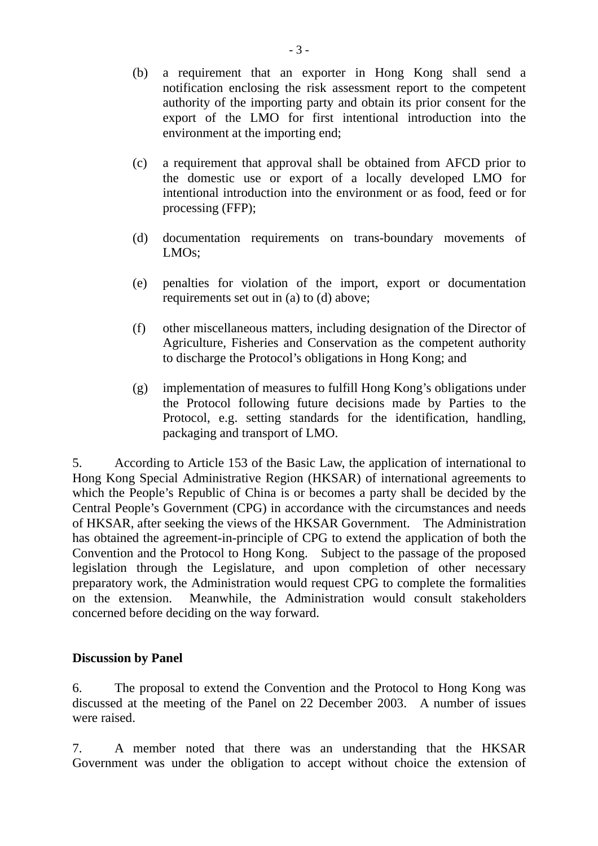- (b) a requirement that an exporter in Hong Kong shall send a notification enclosing the risk assessment report to the competent authority of the importing party and obtain its prior consent for the export of the LMO for first intentional introduction into the environment at the importing end;
- (c) a requirement that approval shall be obtained from AFCD prior to the domestic use or export of a locally developed LMO for intentional introduction into the environment or as food, feed or for processing (FFP);
- (d) documentation requirements on trans-boundary movements of LMOs;
- (e) penalties for violation of the import, export or documentation requirements set out in (a) to (d) above;
- (f) other miscellaneous matters, including designation of the Director of Agriculture, Fisheries and Conservation as the competent authority to discharge the Protocol's obligations in Hong Kong; and
- (g) implementation of measures to fulfill Hong Kong's obligations under the Protocol following future decisions made by Parties to the Protocol, e.g. setting standards for the identification, handling, packaging and transport of LMO.

5. According to Article 153 of the Basic Law, the application of international to Hong Kong Special Administrative Region (HKSAR) of international agreements to which the People's Republic of China is or becomes a party shall be decided by the Central People's Government (CPG) in accordance with the circumstances and needs of HKSAR, after seeking the views of the HKSAR Government. The Administration has obtained the agreement-in-principle of CPG to extend the application of both the Convention and the Protocol to Hong Kong. Subject to the passage of the proposed legislation through the Legislature, and upon completion of other necessary preparatory work, the Administration would request CPG to complete the formalities on the extension. Meanwhile, the Administration would consult stakeholders concerned before deciding on the way forward.

#### **Discussion by Panel**

6. The proposal to extend the Convention and the Protocol to Hong Kong was discussed at the meeting of the Panel on 22 December 2003. A number of issues were raised.

7. A member noted that there was an understanding that the HKSAR Government was under the obligation to accept without choice the extension of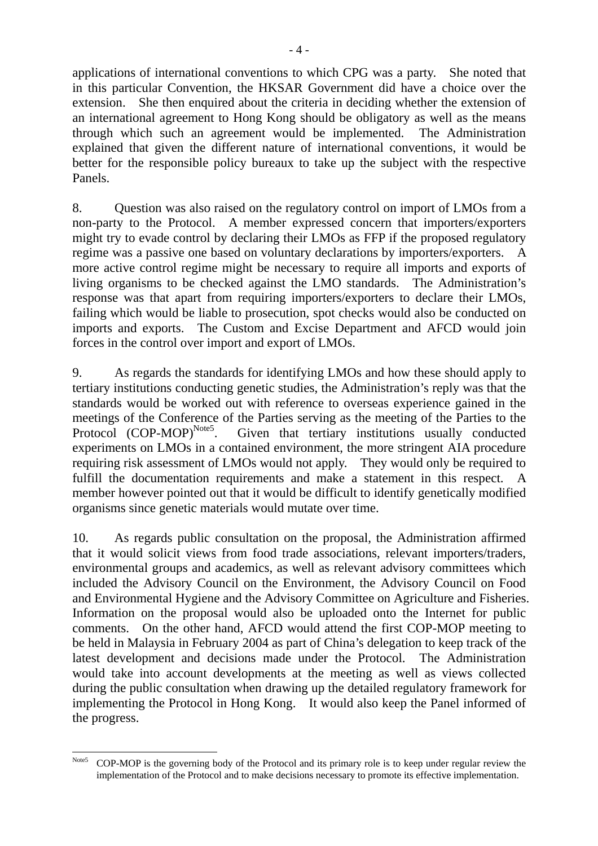applications of international conventions to which CPG was a party. She noted that in this particular Convention, the HKSAR Government did have a choice over the extension. She then enquired about the criteria in deciding whether the extension of an international agreement to Hong Kong should be obligatory as well as the means through which such an agreement would be implemented. The Administration explained that given the different nature of international conventions, it would be better for the responsible policy bureaux to take up the subject with the respective Panels.

8. Question was also raised on the regulatory control on import of LMOs from a non-party to the Protocol. A member expressed concern that importers/exporters might try to evade control by declaring their LMOs as FFP if the proposed regulatory regime was a passive one based on voluntary declarations by importers/exporters. A more active control regime might be necessary to require all imports and exports of living organisms to be checked against the LMO standards. The Administration's response was that apart from requiring importers/exporters to declare their LMOs, failing which would be liable to prosecution, spot checks would also be conducted on imports and exports. The Custom and Excise Department and AFCD would join forces in the control over import and export of LMOs.

9. As regards the standards for identifying LMOs and how these should apply to tertiary institutions conducting genetic studies, the Administration's reply was that the standards would be worked out with reference to overseas experience gained in the meetings of the Conference of the Parties serving as the meeting of the Parties to the Protocol (COP-MOP)<sup>Note5</sup>. Given that tertiary institutions usually conducted Given that tertiary institutions usually conducted experiments on LMOs in a contained environment, the more stringent AIA procedure requiring risk assessment of LMOs would not apply. They would only be required to fulfill the documentation requirements and make a statement in this respect. A member however pointed out that it would be difficult to identify genetically modified organisms since genetic materials would mutate over time.

10. As regards public consultation on the proposal, the Administration affirmed that it would solicit views from food trade associations, relevant importers/traders, environmental groups and academics, as well as relevant advisory committees which included the Advisory Council on the Environment, the Advisory Council on Food and Environmental Hygiene and the Advisory Committee on Agriculture and Fisheries. Information on the proposal would also be uploaded onto the Internet for public comments. On the other hand, AFCD would attend the first COP-MOP meeting to be held in Malaysia in February 2004 as part of China's delegation to keep track of the latest development and decisions made under the Protocol. The Administration would take into account developments at the meeting as well as views collected during the public consultation when drawing up the detailed regulatory framework for implementing the Protocol in Hong Kong. It would also keep the Panel informed of the progress.

 $\overline{a}$ Note5 COP-MOP is the governing body of the Protocol and its primary role is to keep under regular review the implementation of the Protocol and to make decisions necessary to promote its effective implementation.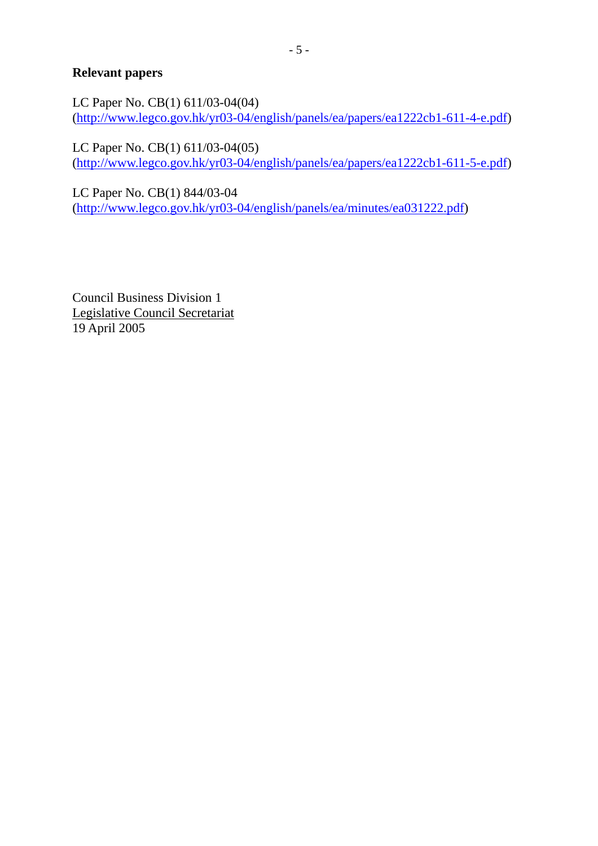## **Relevant papers**

LC Paper No. CB(1) 611/03-04(04) (http://www.legco.gov.hk/yr03-04/english/panels/ea/papers/ea1222cb1-611-4-e.pdf)

LC Paper No. CB(1) 611/03-04(05) (http://www.legco.gov.hk/yr03-04/english/panels/ea/papers/ea1222cb1-611-5-e.pdf)

LC Paper No. CB(1) 844/03-04 (http://www.legco.gov.hk/yr03-04/english/panels/ea/minutes/ea031222.pdf)

Council Business Division 1 Legislative Council Secretariat 19 April 2005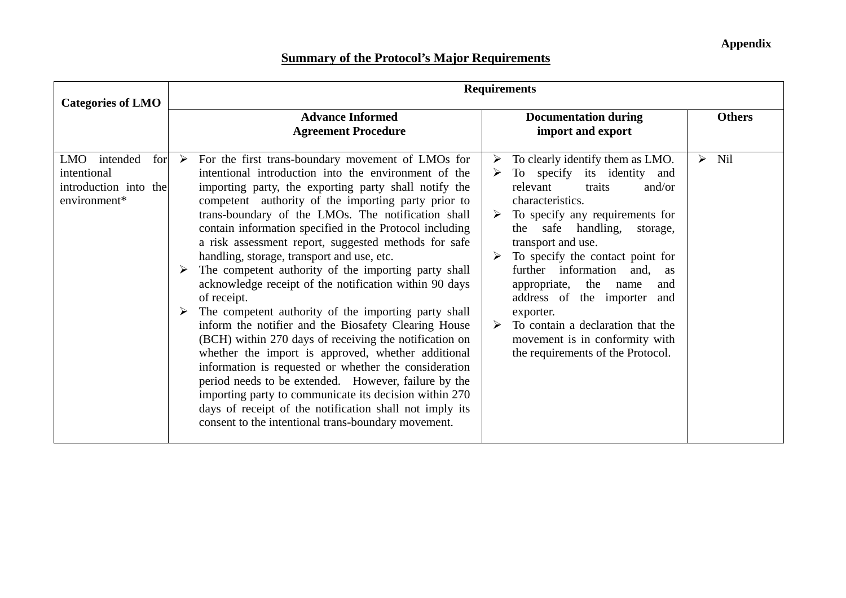**Appendix** 

# **Summary of the Protocol's Major Requirements**

| <b>Categories of LMO</b>                                                              | <b>Requirements</b> |                                                                                                                                                                                                                                                                                                                                                                                                                                                                                                                                                                                                                                                                                                                                                                                                                                                                                                                                                                                                                                                                                                                |        |                                                                                                                                                                                                                                                                                                                                                                                                                                                                                                 |                       |               |
|---------------------------------------------------------------------------------------|---------------------|----------------------------------------------------------------------------------------------------------------------------------------------------------------------------------------------------------------------------------------------------------------------------------------------------------------------------------------------------------------------------------------------------------------------------------------------------------------------------------------------------------------------------------------------------------------------------------------------------------------------------------------------------------------------------------------------------------------------------------------------------------------------------------------------------------------------------------------------------------------------------------------------------------------------------------------------------------------------------------------------------------------------------------------------------------------------------------------------------------------|--------|-------------------------------------------------------------------------------------------------------------------------------------------------------------------------------------------------------------------------------------------------------------------------------------------------------------------------------------------------------------------------------------------------------------------------------------------------------------------------------------------------|-----------------------|---------------|
|                                                                                       |                     | <b>Advance Informed</b><br><b>Agreement Procedure</b>                                                                                                                                                                                                                                                                                                                                                                                                                                                                                                                                                                                                                                                                                                                                                                                                                                                                                                                                                                                                                                                          |        | <b>Documentation during</b><br>import and export                                                                                                                                                                                                                                                                                                                                                                                                                                                |                       | <b>Others</b> |
| intended<br><b>LMO</b><br>for<br>intentional<br>introduction into the<br>environment* | $\rightarrow$       | For the first trans-boundary movement of LMOs for<br>intentional introduction into the environment of the<br>importing party, the exporting party shall notify the<br>competent authority of the importing party prior to<br>trans-boundary of the LMOs. The notification shall<br>contain information specified in the Protocol including<br>a risk assessment report, suggested methods for safe<br>handling, storage, transport and use, etc.<br>The competent authority of the importing party shall<br>acknowledge receipt of the notification within 90 days<br>of receipt.<br>The competent authority of the importing party shall<br>inform the notifier and the Biosafety Clearing House<br>(BCH) within 270 days of receiving the notification on<br>whether the import is approved, whether additional<br>information is requested or whether the consideration<br>period needs to be extended. However, failure by the<br>importing party to communicate its decision within 270<br>days of receipt of the notification shall not imply its<br>consent to the intentional trans-boundary movement. | ➤<br>➤ | To clearly identify them as LMO.<br>To specify its identity and<br>relevant<br>and/or<br>traits<br>characteristics.<br>To specify any requirements for<br>the safe handling,<br>storage,<br>transport and use.<br>To specify the contact point for<br>further information<br>and.<br><b>as</b><br>appropriate,<br>the<br>name<br>and<br>address of the importer<br>and<br>exporter.<br>To contain a declaration that the<br>movement is in conformity with<br>the requirements of the Protocol. | $\blacktriangleright$ | <b>Nil</b>    |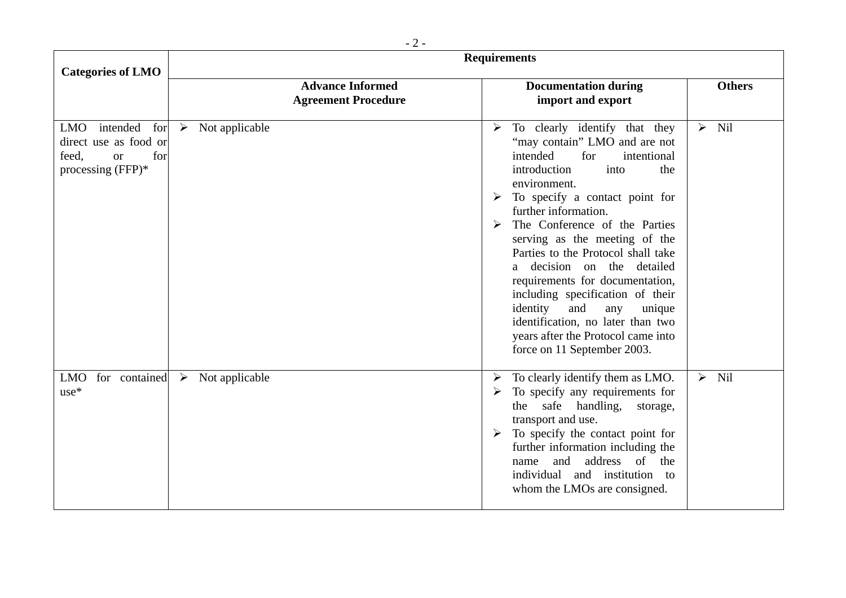| <b>Categories of LMO</b>                                                                              | <b>Requirements</b>                                   |                                                                                                                                                                                                                                                                                                                                                                                                                                                                                                                                                                                            |                         |  |  |  |
|-------------------------------------------------------------------------------------------------------|-------------------------------------------------------|--------------------------------------------------------------------------------------------------------------------------------------------------------------------------------------------------------------------------------------------------------------------------------------------------------------------------------------------------------------------------------------------------------------------------------------------------------------------------------------------------------------------------------------------------------------------------------------------|-------------------------|--|--|--|
|                                                                                                       | <b>Advance Informed</b><br><b>Agreement Procedure</b> | <b>Documentation during</b><br>import and export                                                                                                                                                                                                                                                                                                                                                                                                                                                                                                                                           | <b>Others</b>           |  |  |  |
| intended for<br><b>LMO</b><br>direct use as food or<br>feed,<br>for<br><b>or</b><br>processing (FFP)* | $\triangleright$ Not applicable                       | To clearly identify that they<br>➤<br>"may contain" LMO and are not<br>intended<br>intentional<br>for<br>into<br>introduction<br>the<br>environment.<br>$\triangleright$ To specify a contact point for<br>further information.<br>The Conference of the Parties<br>serving as the meeting of the<br>Parties to the Protocol shall take<br>a decision on the detailed<br>requirements for documentation,<br>including specification of their<br>identity<br>and<br>unique<br>any<br>identification, no later than two<br>years after the Protocol came into<br>force on 11 September 2003. | Nil<br>$\sum_{i=1}^{n}$ |  |  |  |
| for contained<br><b>LMO</b><br>$use*$                                                                 | Not applicable<br>$\blacktriangleright$               | To clearly identify them as LMO.<br>➤<br>To specify any requirements for<br>safe<br>handling,<br>the<br>storage,<br>transport and use.<br>To specify the contact point for<br>$\blacktriangleright$<br>further information including the<br>address<br>of<br>and<br>the<br>name<br>individual and institution to<br>whom the LMOs are consigned.                                                                                                                                                                                                                                           | Nil<br>$\sum_{i=1}^{n}$ |  |  |  |